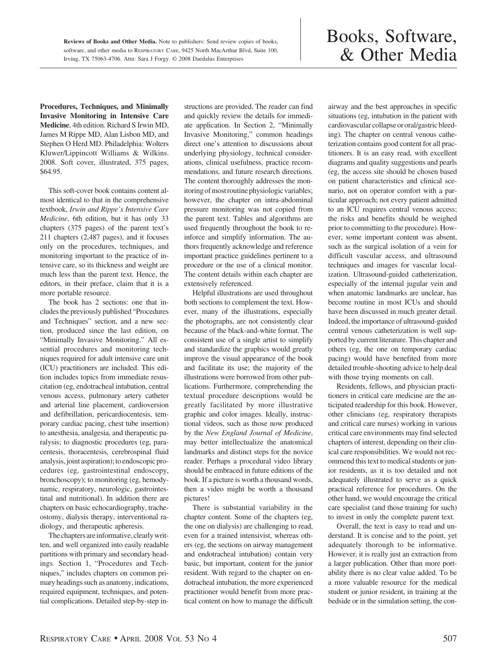## Books, Software, & Other Media

**Procedures, Techniques, and Minimally Invasive Monitoring in Intensive Care Medicine**, 4th edition. Richard S Irwin MD, James M Rippe MD, Alan Lisbon MD, and Stephen O Herd MD. Philadelphia: Wolters Kluwer/Lippincott Williams & Wilkins. 2008. Soft cover, illustrated, 375 pages, \$64.95.

This soft-cover book contains content almost identical to that in the comprehensive textbook, *Irwin and Rippe's Intensive Care Medicine*, 6th edition, but it has only 33 chapters (375 pages) of the parent text's 211 chapters (2,487 pages), and it focuses only on the procedures, techniques, and monitoring important to the practice of intensive care, so its thickness and weight are much less than the parent text. Hence, the editors, in their preface, claim that it is a more portable resource.

The book has 2 sections: one that includes the previously published "Procedures and Techniques" section, and a new section, produced since the last edition, on "Minimally Invasive Monitoring." All essential procedures and monitoring techniques required for adult intensive care unit (ICU) practitioners are included. This edition includes topics from immediate resuscitation (eg, endotracheal intubation, central venous access, pulmonary artery catheter and arterial line placement, cardioversion and defibrillation, pericardiocentesis, temporary cardiac pacing, chest tube insertion) to anesthesia, analgesia, and therapeutic paralysis; to diagnostic procedures (eg, paracentesis, thoracentesis, cerebrospinal fluid analysis, joint aspiration); to endoscopic procedures (eg, gastrointestinal endoscopy, bronchoscopy); to monitoring (eg, hemodynamic, respiratory, neurologic, gastrointestinal and nutritional). In addition there are chapters on basic echocardiography, tracheostomy, dialysis therapy, interventional radiology, and therapeutic apheresis.

The chapters are informative, clearly written, and well organized into easily readable partitions with primary and secondary headings. Section 1, "Procedures and Techniques," includes chapters on common primary headings such as anatomy, indications, required equipment, techniques, and potential complications. Detailed step-by-step instructions are provided. The reader can find and quickly review the details for immediate application. In Section 2, "Minimally Invasive Monitoring," common headings direct one's attention to discussions about underlying physiology, technical considerations, clinical usefulness, practice recommendations, and future research directions. The content thoroughly addresses the monitoring of most routine physiologic variables; however, the chapter on intra-abdominal pressure monitoring was not copied from the parent text. Tables and algorithms are used frequently throughout the book to reinforce and simplify information. The authors frequently acknowledge and reference important practice guidelines pertinent to a procedure or the use of a clinical monitor. The content details within each chapter are extensively referenced.

Helpful illustrations are used throughout both sections to complement the text. However, many of the illustrations, especially the photographs, are not consistently clear because of the black-and-white format. The consistent use of a single artist to simplify and standardize the graphics would greatly improve the visual appearance of the book and facilitate its use; the majority of the illustrations were borrowed from other publications. Furthermore, comprehending the textual procedure descriptions would be greatly facilitated by more illustrative graphic and color images. Ideally, instructional videos, such as those now produced by the *New England Journal of Medicine*, may better intellectualize the anatomical landmarks and distinct steps for the novice reader. Perhaps a procedural video library should be embraced in future editions of the book. If a picture is worth a thousand words, then a video might be worth a thousand pictures!

There is substantial variability in the chapter content. Some of the chapters (eg, the one on dialysis) are challenging to read, even for a trained intensivist, whereas others (eg, the sections on airway management and endotracheal intubation) contain very basic, but important, content for the junior resident. With regard to the chapter on endotracheal intubation, the more experienced practitioner would benefit from more practical content on how to manage the difficult airway and the best approaches in specific situations (eg, intubation in the patient with cardiovascular collapse or oral/gastric bleeding). The chapter on central venous catheterization contains good content for all practitioners. It is an easy read, with excellent diagrams and quality suggestions and pearls (eg, the access site should be chosen based on patient characteristics and clinical scenario, not on operator comfort with a particular approach; not every patient admitted to an ICU requires central venous access; the risks and benefits should be weighed prior to committing to the procedure). However, some important content was absent, such as the surgical isolation of a vein for difficult vascular access, and ultrasound techniques and images for vascular localization. Ultrasound-guided catheterization, especially of the internal jugular vein and when anatomic landmarks are unclear, has become routine in most ICUs and should have been discussed in much greater detail. Indeed, the importance of ultrasound-guided central venous catheterization is well supported by current literature. This chapter and others (eg, the one on temporary cardiac pacing) would have benefited from more detailed trouble-shooting advice to help deal with those trying moments on call.

Residents, fellows, and physician practitioners in critical care medicine are the anticipated readership for this book. However, other clinicians (eg, respiratory therapists and critical care nurses) working in various critical care environments may find selected chapters of interest, depending on their clinical care responsibilities. We would not recommend this text to medical students or junior residents, as it is too detailed and not adequately illustrated to serve as a quick practical reference for procedures. On the other hand, we would encourage the critical care specialist (and those training for such) to invest in only the complete parent text.

Overall, the text is easy to read and understand. It is concise and to the point, yet adequately thorough to be informative. However, it is really just an extraction from a larger publication. Other than more portability there is no clear value added. To be a more valuable resource for the medical student or junior resident, in training at the bedside or in the simulation setting, the con